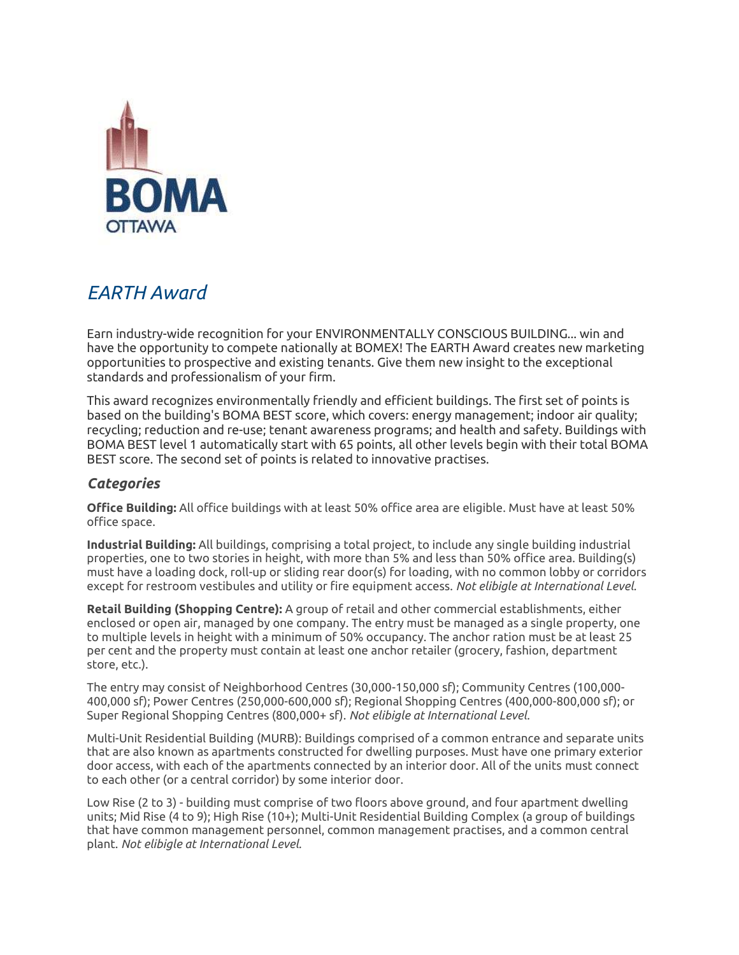

## *EARTH Award*

Earn industry-wide recognition for your ENVIRONMENTALLY CONSCIOUS BUILDING... win and have the opportunity to compete nationally at BOMEX! The EARTH Award creates new marketing opportunities to prospective and existing tenants. Give them new insight to the exceptional standards and professionalism of your firm.

This award recognizes environmentally friendly and efficient buildings. The first set of points is based on the building's BOMA BEST score, which covers: energy management; indoor air quality; recycling; reduction and re-use; tenant awareness programs; and health and safety. Buildings with BOMA BEST level 1 automatically start with 65 points, all other levels begin with their total BOMA BEST score. The second set of points is related to innovative practises.

## *Categories*

**Office Building:** All office buildings with at least 50% office area are eligible. Must have at least 50% office space.

**Industrial Building:** All buildings, comprising a total project, to include any single building industrial properties, one to two stories in height, with more than 5% and less than 50% office area. Building(s) must have a loading dock, roll-up or sliding rear door(s) for loading, with no common lobby or corridors except for restroom vestibules and utility or fire equipment access. *Not elibigle at International Level.*

**Retail Building (Shopping Centre):** A group of retail and other commercial establishments, either enclosed or open air, managed by one company. The entry must be managed as a single property, one to multiple levels in height with a minimum of 50% occupancy. The anchor ration must be at least 25 per cent and the property must contain at least one anchor retailer (grocery, fashion, department store, etc.).

The entry may consist of Neighborhood Centres (30,000-150,000 sf); Community Centres (100,000- 400,000 sf); Power Centres (250,000-600,000 sf); Regional Shopping Centres (400,000-800,000 sf); or Super Regional Shopping Centres (800,000+ sf). *Not elibigle at International Level.*

Multi-Unit Residential Building (MURB): Buildings comprised of a common entrance and separate units that are also known as apartments constructed for dwelling purposes. Must have one primary exterior door access, with each of the apartments connected by an interior door. All of the units must connect to each other (or a central corridor) by some interior door.

Low Rise (2 to 3) - building must comprise of two floors above ground, and four apartment dwelling units; Mid Rise (4 to 9); High Rise (10+); Multi-Unit Residential Building Complex (a group of buildings that have common management personnel, common management practises, and a common central plant. *Not elibigle at International Level.*